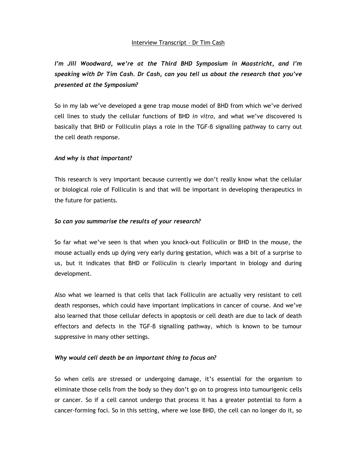## Interview Transcript – Dr Tim Cash

*I'm Jill Woodward, we're at the Third BHD Symposium in Maastricht, and I'm speaking with Dr Tim Cash. Dr Cash, can you tell us about the research that you've presented at the Symposium?* 

So in my lab we've developed a gene trap mouse model of BHD from which we've derived cell lines to study the cellular functions of BHD *in vitro*, and what we've discovered is basically that BHD or Folliculin plays a role in the TGF-β signalling pathway to carry out the cell death response.

### *And why is that important?*

This research is very important because currently we don't really know what the cellular or biological role of Folliculin is and that will be important in developing therapeutics in the future for patients.

### *So can you summarise the results of your research?*

So far what we've seen is that when you knock-out Folliculin or BHD in the mouse, the mouse actually ends up dying very early during gestation, which was a bit of a surprise to us, but it indicates that BHD or Folliculin is clearly important in biology and during development.

Also what we learned is that cells that lack Folliculin are actually very resistant to cell death responses, which could have important implications in cancer of course. And we've also learned that those cellular defects in apoptosis or cell death are due to lack of death effectors and defects in the TGF-β signalling pathway, which is known to be tumour suppressive in many other settings.

## *Why would cell death be an important thing to focus on?*

So when cells are stressed or undergoing damage, it's essential for the organism to eliminate those cells from the body so they don't go on to progress into tumourigenic cells or cancer. So if a cell cannot undergo that process it has a greater potential to form a cancer-forming foci. So in this setting, where we lose BHD, the cell can no longer do it, so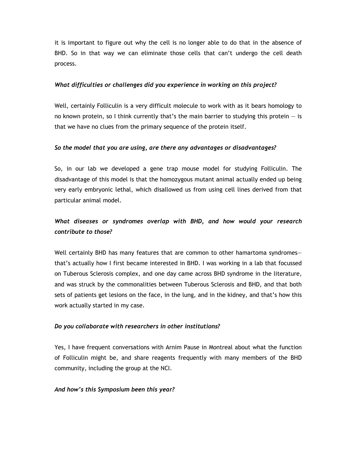it is important to figure out why the cell is no longer able to do that in the absence of BHD. So in that way we can eliminate those cells that can't undergo the cell death process.

## *What difficulties or challenges did you experience in working on this project?*

Well, certainly Folliculin is a very difficult molecule to work with as it bears homology to no known protein, so I think currently that's the main barrier to studying this protein — is that we have no clues from the primary sequence of the protein itself.

## *So the model that you are using, are there any advantages or disadvantages?*

So, in our lab we developed a gene trap mouse model for studying Folliculin. The disadvantage of this model is that the homozygous mutant animal actually ended up being very early embryonic lethal, which disallowed us from using cell lines derived from that particular animal model.

# *What diseases or syndromes overlap with BHD, and how would your research contribute to those?*

Well certainly BHD has many features that are common to other hamartoma syndromesthat's actually how I first became interested in BHD. I was working in a lab that focussed on Tuberous Sclerosis complex, and one day came across BHD syndrome in the literature, and was struck by the commonalities between Tuberous Sclerosis and BHD, and that both sets of patients get lesions on the face, in the lung, and in the kidney, and that's how this work actually started in my case.

## *Do you collaborate with researchers in other institutions?*

Yes, I have frequent conversations with Arnim Pause in Montreal about what the function of Folliculin might be, and share reagents frequently with many members of the BHD community, including the group at the NCI.

## *And how's this Symposium been this year?*